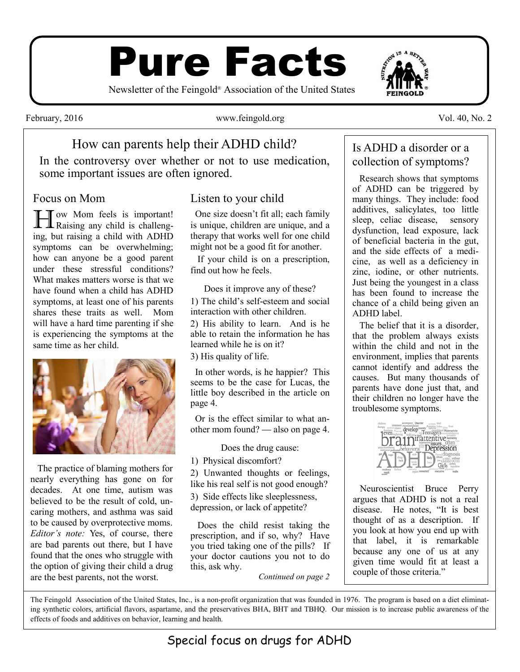# Pure Facts

Newsletter of the Feingold® Association of the United States

February, 2016 **WWW.feingold.org** Vol. 40, No. 2

## How can parents help their ADHD child?

In the controversy over whether or not to use medication, some important issues are often ignored.

#### Focus on Mom

Tow Mom feels is important! **L** Raising any child is challenging, but raising a child with ADHD symptoms can be overwhelming; how can anyone be a good parent under these stressful conditions? What makes matters worse is that we have found when a child has ADHD symptoms, at least one of his parents shares these traits as well. Mom will have a hard time parenting if she is experiencing the symptoms at the same time as her child.



 The practice of blaming mothers for nearly everything has gone on for decades. At one time, autism was believed to be the result of cold, uncaring mothers, and asthma was said to be caused by overprotective moms. *Editor's note:* Yes, of course, there are bad parents out there, but I have found that the ones who struggle with the option of giving their child a drug are the best parents, not the worst.

#### Listen to your child

 One size doesn't fit all; each family is unique, children are unique, and a therapy that works well for one child might not be a good fit for another.

 If your child is on a prescription, find out how he feels.

Does it improve any of these? 1) The child's self-esteem and social interaction with other children.

2) His ability to learn. And is he able to retain the information he has learned while he is on it?

3) His quality of life.

 In other words, is he happier? This seems to be the case for Lucas, the little boy described in the article on page 4.

 Or is the effect similar to what another mom found? — also on page 4.

Does the drug cause:

1) Physical discomfort?

2) Unwanted thoughts or feelings, like his real self is not good enough?

3) Side effects like sleeplessness, depression, or lack of appetite?

 Does the child resist taking the prescription, and if so, why? Have you tried taking one of the pills? If your doctor cautions you not to do this, ask why.

*Continued on page 2*

#### Is ADHD a disorder or a collection of symptoms?

 Research shows that symptoms of ADHD can be triggered by many things. They include: food additives, salicylates, too little sleep, celiac disease, sensory dysfunction, lead exposure, lack of beneficial bacteria in the gut, and the side effects of a medicine, as well as a deficiency in zinc, iodine, or other nutrients. Just being the youngest in a class has been found to increase the chance of a child being given an ADHD label.

 The belief that it is a disorder, that the problem always exists within the child and not in the environment, implies that parents cannot identify and address the causes. But many thousands of parents have done just that, and their children no longer have the troublesome symptoms.



 Neuroscientist Bruce Perry argues that ADHD is not a real disease. He notes, "It is best thought of as a description. If you look at how you end up with that label, it is remarkable because any one of us at any given time would fit at least a couple of those criteria."

The Feingold Association of the United States, Inc., is a non-profit organization that was founded in 1976. The program is based on a diet eliminating synthetic colors, artificial flavors, aspartame, and the preservatives BHA, BHT and TBHQ. Our mission is to increase public awareness of the effects of foods and additives on behavior, learning and health.